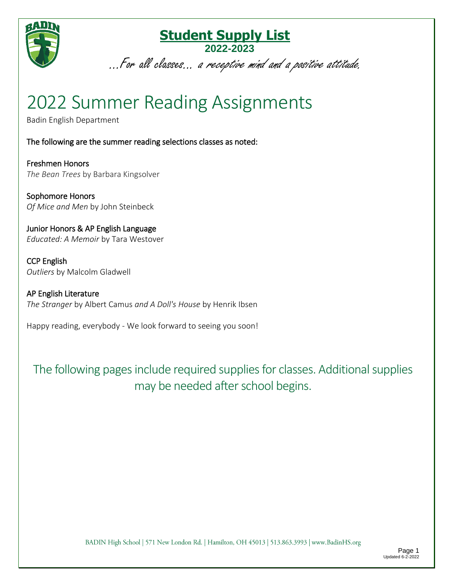

...For all classes... a receptive mind and a positive attitude.

## 2022 Summer Reading Assignments

Badin English Department

The following are the summer reading selections classes as noted:

Freshmen Honors *The Bean Trees* by Barbara Kingsolver

Sophomore Honors *Of Mice and Men* by John Steinbeck

Junior Honors & AP English Language *Educated: A Memoir* by Tara Westover

CCP English *Outliers* by Malcolm Gladwell

AP English Literature *The Stranger* by Albert Camus *and A Doll's House* by Henrik Ibsen

Happy reading, everybody - We look forward to seeing you soon!

The following pages include required supplies for classes. Additional supplies may be needed after school begins.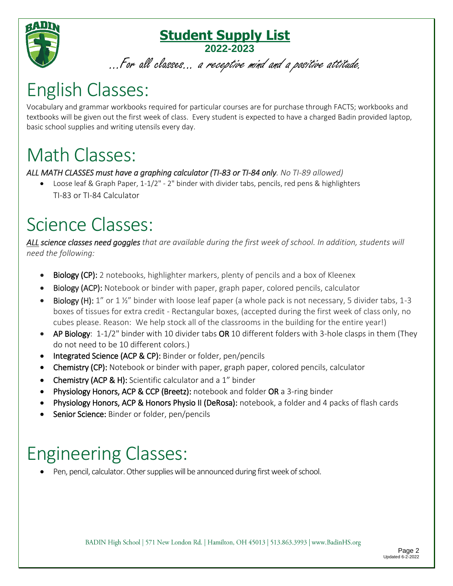

...For all classes... a receptive mind and a positive attitude.

## English Classes:

Vocabulary and grammar workbooks required for particular courses are for purchase through FACTS; workbooks and textbooks will be given out the first week of class. Every student is expected to have a charged Badin provided laptop, basic school supplies and writing utensils every day.

### Math Classes:

#### *ALL MATH CLASSES must have a graphing calculator (TI-83 or TI-84 only. No TI-89 allowed)*

 Loose leaf & Graph Paper, 1-1/2" - 2" binder with divider tabs, pencils, red pens & highlighters TI-83 or TI-84 Calculator

## Science Classes:

*ALL science classes need goggles that are available during the first week of school. In addition, students will need the following:*

- **Biology (CP):** 2 notebooks, highlighter markers, plenty of pencils and a box of Kleenex
- Biology (ACP): Notebook or binder with paper, graph paper, colored pencils, calculator
- Biology (H): 1" or 1 %" binder with loose leaf paper (a whole pack is not necessary, 5 divider tabs, 1-3 boxes of tissues for extra credit - Rectangular boxes, (accepted during the first week of class only, no cubes please. Reason: We help stock all of the classrooms in the building for the entire year!)
- AP Biology: 1-1/2" binder with 10 divider tabs OR 10 different folders with 3-hole clasps in them (They do not need to be 10 different colors.)
- Integrated Science (ACP & CP): Binder or folder, pen/pencils
- Chemistry (CP): Notebook or binder with paper, graph paper, colored pencils, calculator
- Chemistry (ACP & H): Scientific calculator and a 1" binder
- Physiology Honors, ACP & CCP (Breetz): notebook and folder OR a 3-ring binder
- Physiology Honors, ACP & Honors Physio II (DeRosa): notebook, a folder and 4 packs of flash cards
- **Senior Science:** Binder or folder, pen/pencils

# Engineering Classes:

Pen, pencil, calculator. Other supplies will be announced during first week of school.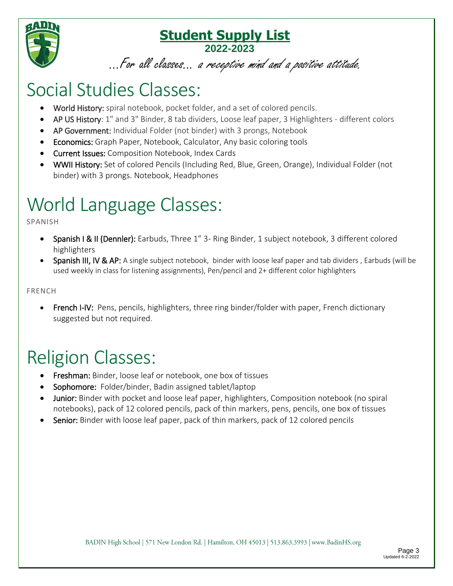

...For all classes... a receptive mind and a positive attitude.

### Social Studies Classes:

- World History: spiral notebook, pocket folder, and a set of colored pencils.
- AP US History: 1" and 3" Binder, 8 tab dividers, Loose leaf paper, 3 Highlighters different colors
- AP Government: Individual Folder (not binder) with 3 prongs, Notebook
- **Economics:** Graph Paper, Notebook, Calculator, Any basic coloring tools
- **Current Issues:** Composition Notebook, Index Cards
- WWII History: Set of colored Pencils (Including Red, Blue, Green, Orange), Individual Folder (not binder) with 3 prongs. Notebook, Headphones

# World Language Classes:

SPANISH

- Spanish I & II (Dennler): Earbuds, Three 1" 3- Ring Binder, 1 subject notebook, 3 different colored highlighters
- Spanish III, IV & AP: A single subject notebook, binder with loose leaf paper and tab dividers, Earbuds (will be used weekly in class for listening assignments), Pen/pencil and 2+ different color highlighters

FRENCH

 French I-IV: Pens, pencils, highlighters, three ring binder/folder with paper, French dictionary suggested but not required.

## Religion Classes:

- **Freshman:** Binder, loose leaf or notebook, one box of tissues
- Sophomore: Folder/binder, Badin assigned tablet/laptop
- Junior: Binder with pocket and loose leaf paper, highlighters, Composition notebook (no spiral notebooks), pack of 12 colored pencils, pack of thin markers, pens, pencils, one box of tissues
- Senior: Binder with loose leaf paper, pack of thin markers, pack of 12 colored pencils